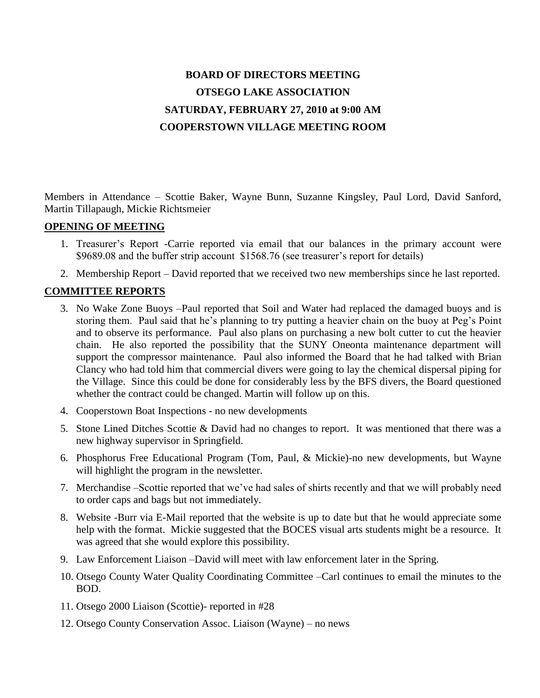# **BOARD OF DIRECTORS MEETING OTSEGO LAKE ASSOCIATION SATURDAY, FEBRUARY 27, 2010 at 9:00 AM COOPERSTOWN VILLAGE MEETING ROOM**

Members in Attendance – Scottie Baker, Wayne Bunn, Suzanne Kingsley, Paul Lord, David Sanford, Martin Tillapaugh, Mickie Richtsmeier

#### **OPENING OF MEETING**

- 1. Treasurer"s Report -Carrie reported via email that our balances in the primary account were \$9689.08 and the buffer strip account \$1568.76 (see treasurer's report for details)
- 2. Membership Report David reported that we received two new memberships since he last reported.

# **COMMITTEE REPORTS**

- 3. No Wake Zone Buoys –Paul reported that Soil and Water had replaced the damaged buoys and is storing them. Paul said that he's planning to try putting a heavier chain on the buoy at Peg's Point and to observe its performance. Paul also plans on purchasing a new bolt cutter to cut the heavier chain. He also reported the possibility that the SUNY Oneonta maintenance department will support the compressor maintenance. Paul also informed the Board that he had talked with Brian Clancy who had told him that commercial divers were going to lay the chemical dispersal piping for the Village. Since this could be done for considerably less by the BFS divers, the Board questioned whether the contract could be changed. Martin will follow up on this.
- 4. Cooperstown Boat Inspections no new developments
- 5. Stone Lined Ditches Scottie & David had no changes to report. It was mentioned that there was a new highway supervisor in Springfield.
- 6. Phosphorus Free Educational Program (Tom, Paul, & Mickie)-no new developments, but Wayne will highlight the program in the newsletter.
- 7. Merchandise –Scottie reported that we"ve had sales of shirts recently and that we will probably need to order caps and bags but not immediately.
- 8. Website -Burr via E-Mail reported that the website is up to date but that he would appreciate some help with the format. Mickie suggested that the BOCES visual arts students might be a resource. It was agreed that she would explore this possibility.
- 9. Law Enforcement Liaison –David will meet with law enforcement later in the Spring.
- 10. Otsego County Water Quality Coordinating Committee –Carl continues to email the minutes to the BOD.
- 11. Otsego 2000 Liaison (Scottie)- reported in #28
- 12. Otsego County Conservation Assoc. Liaison (Wayne) no news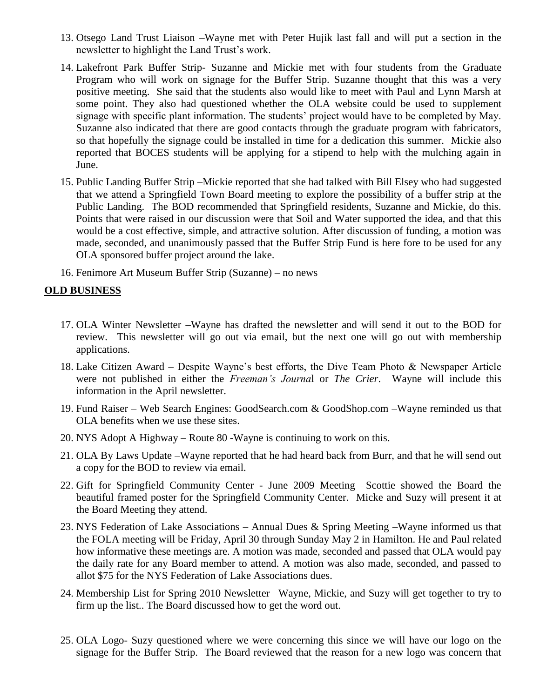- 13. Otsego Land Trust Liaison –Wayne met with Peter Hujik last fall and will put a section in the newsletter to highlight the Land Trust"s work.
- 14. Lakefront Park Buffer Strip- Suzanne and Mickie met with four students from the Graduate Program who will work on signage for the Buffer Strip. Suzanne thought that this was a very positive meeting. She said that the students also would like to meet with Paul and Lynn Marsh at some point. They also had questioned whether the OLA website could be used to supplement signage with specific plant information. The students' project would have to be completed by May. Suzanne also indicated that there are good contacts through the graduate program with fabricators, so that hopefully the signage could be installed in time for a dedication this summer. Mickie also reported that BOCES students will be applying for a stipend to help with the mulching again in June.
- 15. Public Landing Buffer Strip –Mickie reported that she had talked with Bill Elsey who had suggested that we attend a Springfield Town Board meeting to explore the possibility of a buffer strip at the Public Landing. The BOD recommended that Springfield residents, Suzanne and Mickie, do this. Points that were raised in our discussion were that Soil and Water supported the idea, and that this would be a cost effective, simple, and attractive solution. After discussion of funding, a motion was made, seconded, and unanimously passed that the Buffer Strip Fund is here fore to be used for any OLA sponsored buffer project around the lake.
- 16. Fenimore Art Museum Buffer Strip (Suzanne) no news

## **OLD BUSINESS**

- 17. OLA Winter Newsletter –Wayne has drafted the newsletter and will send it out to the BOD for review. This newsletter will go out via email, but the next one will go out with membership applications.
- 18. Lake Citizen Award Despite Wayne"s best efforts, the Dive Team Photo & Newspaper Article were not published in either the *Freeman's Journa*l or *The Crier*. Wayne will include this information in the April newsletter.
- 19. Fund Raiser Web Search Engines: GoodSearch.com & GoodShop.com –Wayne reminded us that OLA benefits when we use these sites.
- 20. NYS Adopt A Highway Route 80 -Wayne is continuing to work on this.
- 21. OLA By Laws Update –Wayne reported that he had heard back from Burr, and that he will send out a copy for the BOD to review via email.
- 22. Gift for Springfield Community Center June 2009 Meeting –Scottie showed the Board the beautiful framed poster for the Springfield Community Center. Micke and Suzy will present it at the Board Meeting they attend.
- 23. NYS Federation of Lake Associations Annual Dues & Spring Meeting –Wayne informed us that the FOLA meeting will be Friday, April 30 through Sunday May 2 in Hamilton. He and Paul related how informative these meetings are. A motion was made, seconded and passed that OLA would pay the daily rate for any Board member to attend. A motion was also made, seconded, and passed to allot \$75 for the NYS Federation of Lake Associations dues.
- 24. Membership List for Spring 2010 Newsletter –Wayne, Mickie, and Suzy will get together to try to firm up the list.. The Board discussed how to get the word out.
- 25. OLA Logo- Suzy questioned where we were concerning this since we will have our logo on the signage for the Buffer Strip. The Board reviewed that the reason for a new logo was concern that